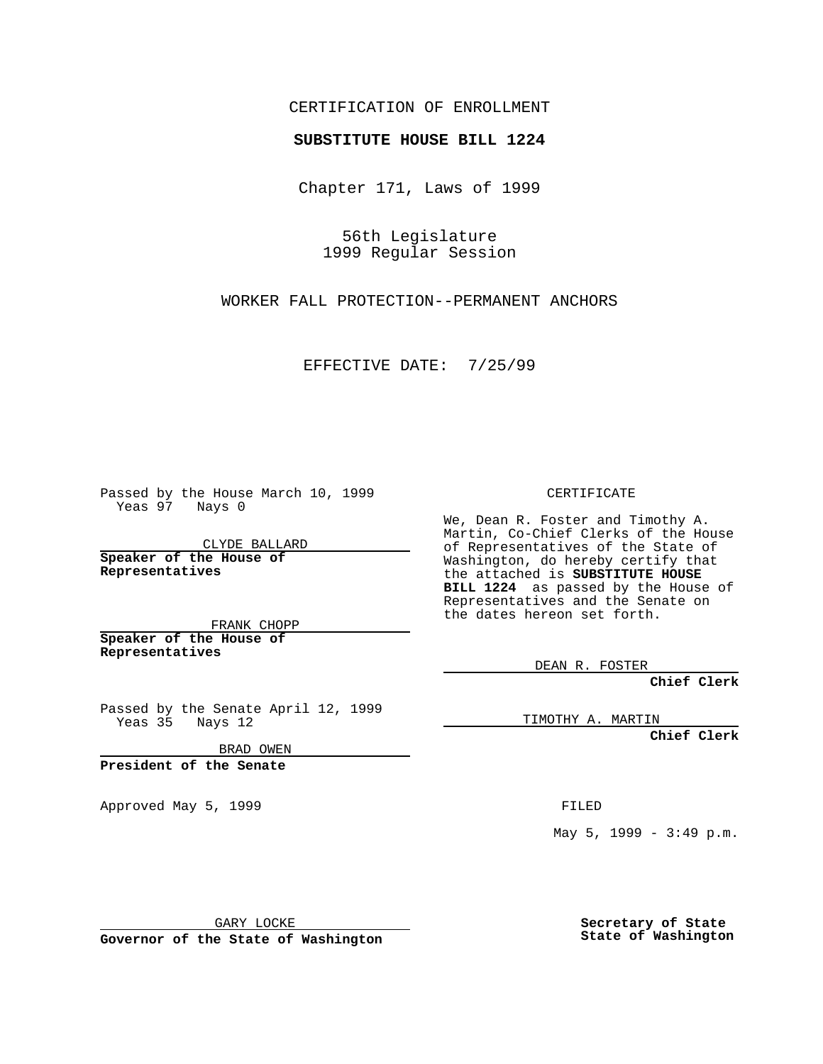CERTIFICATION OF ENROLLMENT

## **SUBSTITUTE HOUSE BILL 1224**

Chapter 171, Laws of 1999

56th Legislature 1999 Regular Session

WORKER FALL PROTECTION--PERMANENT ANCHORS

EFFECTIVE DATE: 7/25/99

Passed by the House March 10, 1999 Yeas 97 Nays 0

CLYDE BALLARD **Speaker of the House of Representatives**

FRANK CHOPP **Speaker of the House of Representatives**

Passed by the Senate April 12, 1999 Yeas 35 Nays 12

BRAD OWEN

**President of the Senate**

Approved May 5, 1999 **FILED** 

CERTIFICATE

We, Dean R. Foster and Timothy A. Martin, Co-Chief Clerks of the House of Representatives of the State of Washington, do hereby certify that the attached is **SUBSTITUTE HOUSE BILL 1224** as passed by the House of Representatives and the Senate on the dates hereon set forth.

DEAN R. FOSTER

**Chief Clerk**

TIMOTHY A. MARTIN

**Chief Clerk**

May 5, 1999 - 3:49 p.m.

GARY LOCKE

**Governor of the State of Washington**

**Secretary of State State of Washington**